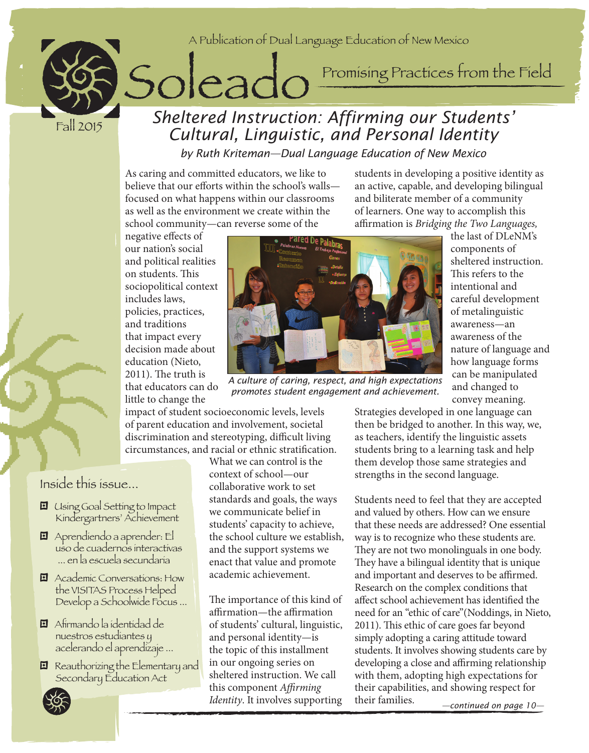

Fall 2015

# Solead Instruction: Affixming our Students' *Sheltered Instruction: Affirming our Students' Cultural, Linguistic, and Personal Identity*

*by Ruth Kriteman—Dual Language Education of New Mexico*

As caring and committed educators, we like to believe that our efforts within the school's walls focused on what happens within our classrooms as well as the environment we create within the school community—can reverse some of the

students in developing a positive identity as an active, capable, and developing bilingual and biliterate member of a community of learners. One way to accomplish this affirmation is *Bridging the Two Languages,*

negative effects of our nation's social and political realities on students. This sociopolitical context includes laws, policies, practices, and traditions that impact every decision made about education (Nieto, 2011). The truth is that educators can do little to change the



*A culture of caring, respect, and high expectations promotes student engagement and achievement.*

the last of DLeNM's components of sheltered instruction. This refers to the intentional and careful development of metalinguistic awareness—an awareness of the nature of language and how language forms can be manipulated and changed to convey meaning.

impact of student socioeconomic levels, levels of parent education and involvement, societal discrimination and stereotyping, difficult living circumstances, and racial or ethnic stratification.

Inside this issue...

- **El** Using Goal Setting to Impact Kindergartners' Achievement
- ; Aprendiendo a aprender: El uso de cuadernos interactivas ... en la escuela secundaria
- **El** Academic Conversations: How the VISITAS Process Helped Develop a Schoolwide Focus ...
- ; Afirmando la identidad de nuestros estudiantes y acelerando el aprendizaje ...
- El Reauthorizing the Elementary and Secondary Education Act

What we can control is the context of school—our collaborative work to set standards and goals, the ways we communicate belief in students' capacity to achieve, the school culture we establish, and the support systems we enact that value and promote academic achievement.

The importance of this kind of affirmation—the affirmation of students' cultural, linguistic, and personal identity—is the topic of this installment in our ongoing series on sheltered instruction. We call this component *Affirming Identity*. It involves supporting Strategies developed in one language can then be bridged to another. In this way, we, as teachers, identify the linguistic assets students bring to a learning task and help them develop those same strategies and strengths in the second language.

Students need to feel that they are accepted and valued by others. How can we ensure that these needs are addressed? One essential way is to recognize who these students are. They are not two monolinguals in one body. They have a bilingual identity that is unique and important and deserves to be affirmed. Research on the complex conditions that affect school achievement has identified the need for an "ethic of care"(Noddings, in Nieto, 2011). This ethic of care goes far beyond simply adopting a caring attitude toward students. It involves showing students care by developing a close and affirming relationship with them, adopting high expectations for their capabilities, and showing respect for their families. *—continued on page 10—*

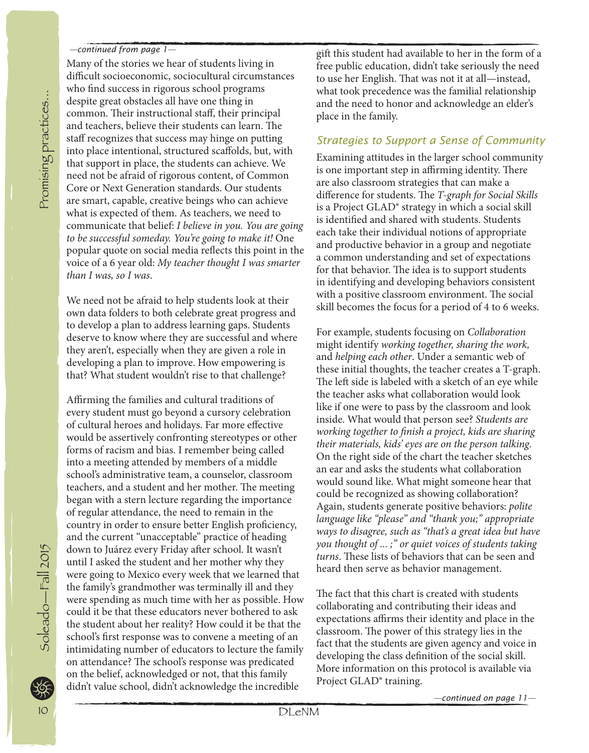#### *—continued from page 1—*

Many of the stories we hear of students living in difficult socioeconomic, sociocultural circumstances who find success in rigorous school programs despite great obstacles all have one thing in common. Their instructional staff, their principal and teachers, believe their students can learn. The staff recognizes that success may hinge on putting into place intentional, structured scaffolds, but, with that support in place, the students can achieve. We need not be afraid of rigorous content, of Common Core or Next Generation standards. Our students are smart, capable, creative beings who can achieve what is expected of them. As teachers, we need to communicate that belief: *I believe in you. You are going to be successful someday. You're going to make it!* One popular quote on social media reflects this point in the voice of a 6 year old: *My teacher thought I was smarter than I was, so I was*.

We need not be afraid to help students look at their own data folders to both celebrate great progress and to develop a plan to address learning gaps. Students deserve to know where they are successful and where they aren't, especially when they are given a role in developing a plan to improve. How empowering is that? What student wouldn't rise to that challenge?

Affirming the families and cultural traditions of every student must go beyond a cursory celebration of cultural heroes and holidays. Far more effective would be assertively confronting stereotypes or other forms of racism and bias. I remember being called into a meeting attended by members of a middle school's administrative team, a counselor, classroom teachers, and a student and her mother. The meeting began with a stern lecture regarding the importance of regular attendance, the need to remain in the country in order to ensure better English proficiency, and the current "unacceptable" practice of heading down to Juárez every Friday after school. It wasn't until I asked the student and her mother why they were going to Mexico every week that we learned that the family's grandmother was terminally ill and they were spending as much time with her as possible. How could it be that these educators never bothered to ask the student about her reality? How could it be that the school's first response was to convene a meeting of an intimidating number of educators to lecture the family on attendance? The school's response was predicated on the belief, acknowledged or not, that this family didn't value school, didn't acknowledge the incredible

gift this student had available to her in the form of a free public education, didn't take seriously the need to use her English. That was not it at all—instead, what took precedence was the familial relationship and the need to honor and acknowledge an elder's place in the family.

## *Strategies to Support a Sense of Community*

Examining attitudes in the larger school community is one important step in affirming identity. There are also classroom strategies that can make a difference for students. The *T-graph for Social Skills* is a Project GLAD® strategy in which a social skill is identified and shared with students. Students each take their individual notions of appropriate and productive behavior in a group and negotiate a common understanding and set of expectations for that behavior. The idea is to support students in identifying and developing behaviors consistent with a positive classroom environment. The social skill becomes the focus for a period of 4 to 6 weeks.

For example, students focusing on *Collaboration*  might identify *working together, sharing the work,*  and *helping each other*. Under a semantic web of these initial thoughts, the teacher creates a T-graph. The left side is labeled with a sketch of an eye while the teacher asks what collaboration would look like if one were to pass by the classroom and look inside. What would that person see? *Students are working together to finish a project, kids are sharing their materials, kids' eyes are on the person talking*. On the right side of the chart the teacher sketches an ear and asks the students what collaboration would sound like. What might someone hear that could be recognized as showing collaboration? Again, students generate positive behaviors: *polite language like "please" and "thank you;" appropriate ways to disagree, such as "that's a great idea but have you thought of ... ;" or quiet voices of students taking turns*. These lists of behaviors that can be seen and heard then serve as behavior management.

The fact that this chart is created with students collaborating and contributing their ideas and expectations affirms their identity and place in the classroom. The power of this strategy lies in the fact that the students are given agency and voice in developing the class definition of the social skill. More information on this protocol is available via Project GLAD® training.